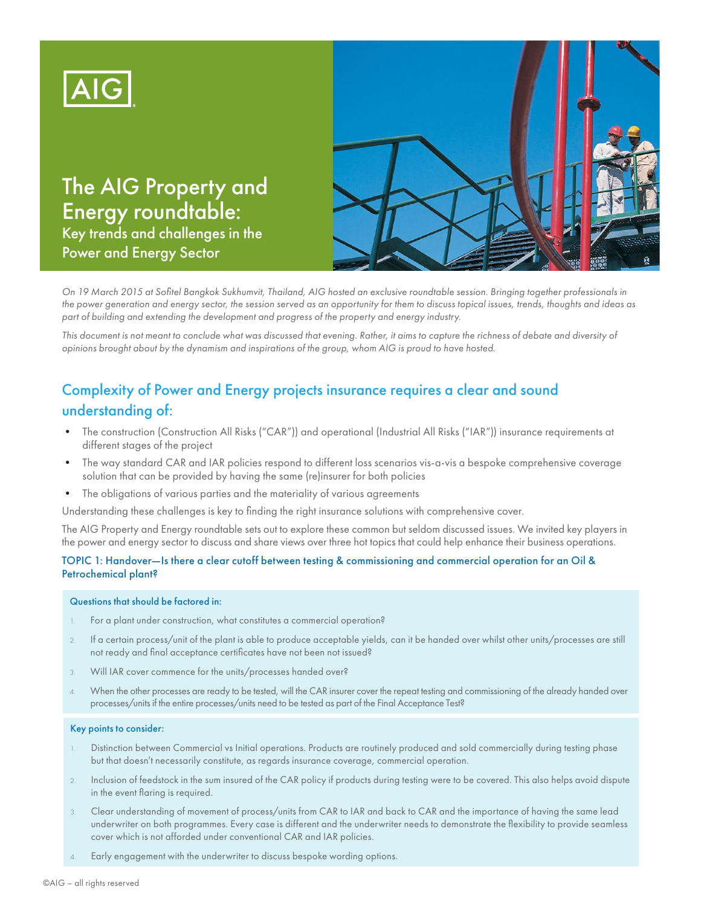

The AIG Property and Energy roundtable: Key trends and challenges in the Power and Energy Sector



*On 19 March 2015 at Sofitel Bangkok Sukhumvit, Thailand, AIG hosted an exclusive roundtable session. Bringing together professionals in the power generation and energy sector, the session served as an opportunity for them to discuss topical issues, trends, thoughts and ideas as part of building and extending the development and progress of the property and energy industry.*

This document is not meant to conclude what was discussed that evening. Rather, it aims to capture the richness of debate and diversity of *opinions brought about by the dynamism and inspirations of the group, whom AIG is proud to have hosted.* 

# Complexity of Power and Energy projects insurance requires a clear and sound understanding of:

- The construction (Construction All Risks ("CAR")) and operational (Industrial All Risks ("IAR")) insurance requirements at different stages of the project
- The way standard CAR and IAR policies respond to different loss scenarios vis-a-vis a bespoke comprehensive coverage solution that can be provided by having the same (re)insurer for both policies
- The obligations of various parties and the materiality of various agreements

Understanding these challenges is key to finding the right insurance solutions with comprehensive cover.

The AIG Property and Energy roundtable sets out to explore these common but seldom discussed issues. We invited key players in the power and energy sector to discuss and share views over three hot topics that could help enhance their business operations.

# TOPIC 1: Handover—Is there a clear cutoff between testing & commissioning and commercial operation for an Oil & Petrochemical plant?

#### Questions that should be factored in:

- 1. For a plant under construction, what constitutes a commercial operation?
- 2. If a certain process/unit of the plant is able to produce acceptable yields, can it be handed over whilst other units/processes are still not ready and final acceptance certificates have not been not issued?
- 3. Will IAR cover commence for the units/processes handed over?
- 4. When the other processes are ready to be tested, will the CAR insurer cover the repeat testing and commissioning of the already handed over processes/units if the entire processes/units need to be tested as part of the Final Acceptance Test?

#### Key points to consider:

- 1. Distinction between Commercial vs Initial operations. Products are routinely produced and sold commercially during testing phase but that doesn't necessarily constitute, as regards insurance coverage, commercial operation.
- 2. Inclusion of feedstock in the sum insured of the CAR policy if products during testing were to be covered. This also helps avoid dispute in the event flaring is required.
- 3. Clear understanding of movement of process/units from CAR to IAR and back to CAR and the importance of having the same lead underwriter on both programmes. Every case is different and the underwriter needs to demonstrate the flexibility to provide seamless cover which is not afforded under conventional CAR and IAR policies.
- Early engagement with the underwriter to discuss bespoke wording options.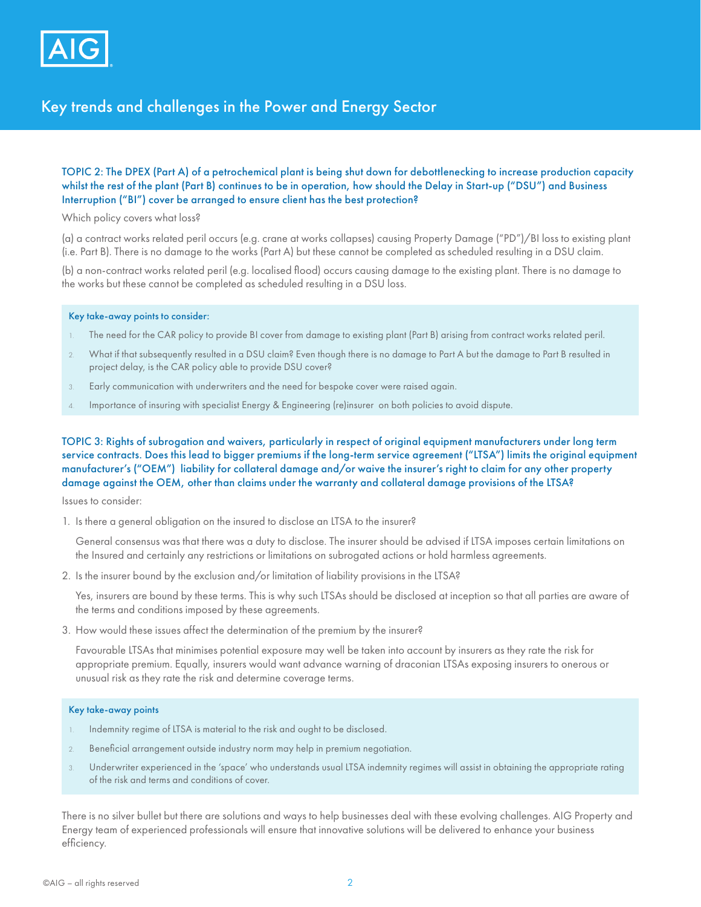

# Key trends and challenges in the Power and Energy Sector

## TOPIC 2: The DPEX (Part A) of a petrochemical plant is being shut down for debottlenecking to increase production capacity whilst the rest of the plant (Part B) continues to be in operation, how should the Delay in Start-up ("DSU") and Business Interruption ("BI") cover be arranged to ensure client has the best protection?

Which policy covers what loss?

(a) a contract works related peril occurs (e.g. crane at works collapses) causing Property Damage ("PD")/BI loss to existing plant (i.e. Part B). There is no damage to the works (Part A) but these cannot be completed as scheduled resulting in a DSU claim.

(b) a non-contract works related peril (e.g. localised flood) occurs causing damage to the existing plant. There is no damage to the works but these cannot be completed as scheduled resulting in a DSU loss.

#### Key take-away points to consider:

- 1. The need for the CAR policy to provide BI cover from damage to existing plant (Part B) arising from contract works related peril.
- 2. What if that subsequently resulted in a DSU claim? Even though there is no damage to Part A but the damage to Part B resulted in project delay, is the CAR policy able to provide DSU cover?
- 3. Early communication with underwriters and the need for bespoke cover were raised again.
- 4. Importance of insuring with specialist Energy & Engineering (re)insurer on both policies to avoid dispute.

TOPIC 3: Rights of subrogation and waivers, particularly in respect of original equipment manufacturers under long term service contracts. Does this lead to bigger premiums if the long-term service agreement ("LTSA") limits the original equipment manufacturer's ("OEM") liability for collateral damage and/or waive the insurer's right to claim for any other property damage against the OEM, other than claims under the warranty and collateral damage provisions of the LTSA?

Issues to consider:

1. Is there a general obligation on the insured to disclose an LTSA to the insurer?

General consensus was that there was a duty to disclose. The insurer should be advised if LTSA imposes certain limitations on the Insured and certainly any restrictions or limitations on subrogated actions or hold harmless agreements.

2. Is the insurer bound by the exclusion and/or limitation of liability provisions in the LTSA?

Yes, insurers are bound by these terms. This is why such LTSAs should be disclosed at inception so that all parties are aware of the terms and conditions imposed by these agreements.

3. How would these issues affect the determination of the premium by the insurer?

Favourable LTSAs that minimises potential exposure may well be taken into account by insurers as they rate the risk for appropriate premium. Equally, insurers would want advance warning of draconian LTSAs exposing insurers to onerous or unusual risk as they rate the risk and determine coverage terms.

#### Key take-away points

- 1. Indemnity regime of LTSA is material to the risk and ought to be disclosed.
- 2. Beneficial arrangement outside industry norm may help in premium negotiation.
- 3. Underwriter experienced in the 'space' who understands usual LTSA indemnity regimes will assist in obtaining the appropriate rating of the risk and terms and conditions of cover.

There is no silver bullet but there are solutions and ways to help businesses deal with these evolving challenges. AIG Property and Energy team of experienced professionals will ensure that innovative solutions will be delivered to enhance your business efficiency.